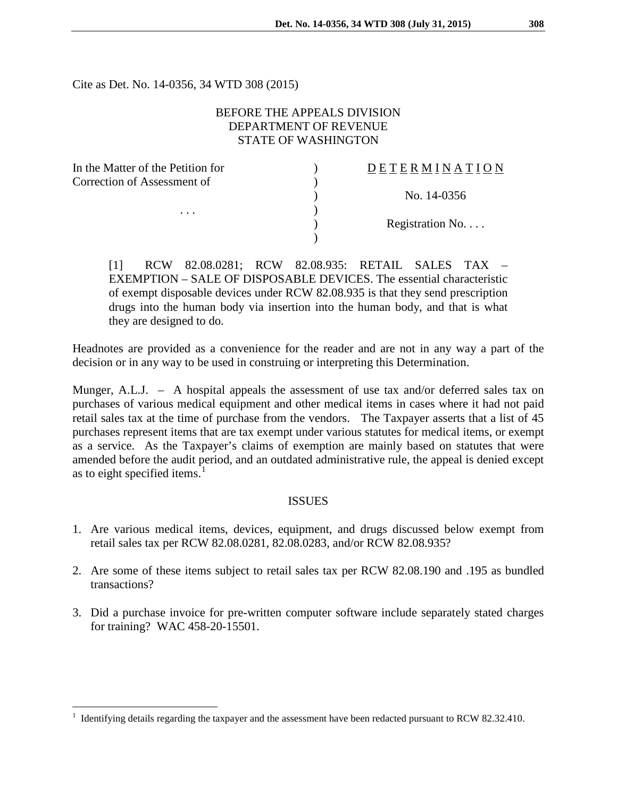Cite as Det. No. 14-0356, 34 WTD 308 (2015)

# BEFORE THE APPEALS DIVISION DEPARTMENT OF REVENUE STATE OF WASHINGTON

| In the Matter of the Petition for       | DETERMINATION   |
|-----------------------------------------|-----------------|
| Correction of Assessment of<br>$\cdots$ |                 |
|                                         | No. 14-0356     |
|                                         |                 |
|                                         | Registration No |
|                                         |                 |
|                                         |                 |

[1] RCW 82.08.0281; RCW 82.08.935: RETAIL SALES TAX – EXEMPTION – SALE OF DISPOSABLE DEVICES. The essential characteristic of exempt disposable devices under RCW 82.08.935 is that they send prescription drugs into the human body via insertion into the human body, and that is what they are designed to do.

Headnotes are provided as a convenience for the reader and are not in any way a part of the decision or in any way to be used in construing or interpreting this Determination.

Munger, A.L.J. – A hospital appeals the assessment of use tax and/or deferred sales tax on purchases of various medical equipment and other medical items in cases where it had not paid retail sales tax at the time of purchase from the vendors. The Taxpayer asserts that a list of 45 purchases represent items that are tax exempt under various statutes for medical items, or exempt as a service. As the Taxpayer's claims of exemption are mainly based on statutes that were amended before the audit period, and an outdated administrative rule, the appeal is denied except as to eight specified items.<sup>[1](#page-0-0)</sup>

## **ISSUES**

- 1. Are various medical items, devices, equipment, and drugs discussed below exempt from retail sales tax per RCW 82.08.0281, 82.08.0283, and/or RCW 82.08.935?
- 2. Are some of these items subject to retail sales tax per RCW 82.08.190 and .195 as bundled transactions?
- 3. Did a purchase invoice for pre-written computer software include separately stated charges for training? WAC 458-20-15501.

<span id="page-0-0"></span> <sup>1</sup> Identifying details regarding the taxpayer and the assessment have been redacted pursuant to RCW 82.32.410.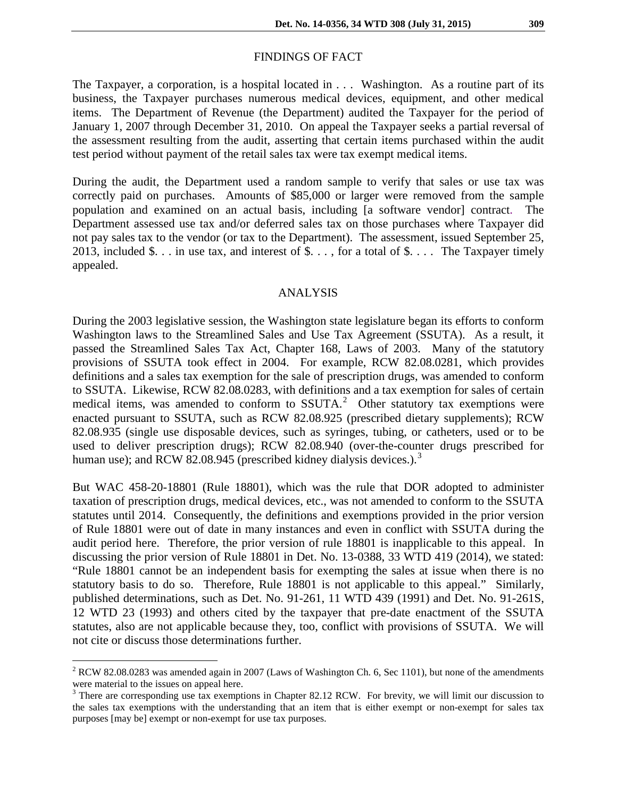#### FINDINGS OF FACT

The Taxpayer, a corporation, is a hospital located in . . . Washington. As a routine part of its business, the Taxpayer purchases numerous medical devices, equipment, and other medical items. The Department of Revenue (the Department) audited the Taxpayer for the period of January 1, 2007 through December 31, 2010. On appeal the Taxpayer seeks a partial reversal of the assessment resulting from the audit, asserting that certain items purchased within the audit test period without payment of the retail sales tax were tax exempt medical items.

During the audit, the Department used a random sample to verify that sales or use tax was correctly paid on purchases. Amounts of \$85,000 or larger were removed from the sample population and examined on an actual basis, including [a software vendor] contract. The Department assessed use tax and/or deferred sales tax on those purchases where Taxpayer did not pay sales tax to the vendor (or tax to the Department). The assessment, issued September 25, 2013, included  $\$\dots$  in use tax, and interest of  $\$\dots$ , for a total of  $\$\dots$ . The Taxpayer timely appealed.

#### ANALYSIS

During the 2003 legislative session, the Washington state legislature began its efforts to conform Washington laws to the Streamlined Sales and Use Tax Agreement (SSUTA). As a result, it passed the Streamlined Sales Tax Act, Chapter 168, Laws of 2003. Many of the statutory provisions of SSUTA took effect in 2004. For example, RCW 82.08.0281, which provides definitions and a sales tax exemption for the sale of prescription drugs, was amended to conform to SSUTA. Likewise, RCW 82.08.0283, with definitions and a tax exemption for sales of certain medical items, was amended to conform to  $S\text{SUTA}.^2$  $S\text{SUTA}.^2$  Other statutory tax exemptions were enacted pursuant to SSUTA, such as RCW 82.08.925 (prescribed dietary supplements); RCW 82.08.935 (single use disposable devices, such as syringes, tubing, or catheters, used or to be used to deliver prescription drugs); RCW 82.08.940 (over-the-counter drugs prescribed for human use); and RCW 82.08.945 (prescribed kidney dialysis devices.).<sup>[3](#page-1-1)</sup>

But WAC 458-20-18801 (Rule 18801), which was the rule that DOR adopted to administer taxation of prescription drugs, medical devices, etc., was not amended to conform to the SSUTA statutes until 2014. Consequently, the definitions and exemptions provided in the prior version of Rule 18801 were out of date in many instances and even in conflict with SSUTA during the audit period here. Therefore, the prior version of rule 18801 is inapplicable to this appeal. In discussing the prior version of Rule 18801 in Det. No. 13-0388, 33 WTD 419 (2014), we stated: "Rule 18801 cannot be an independent basis for exempting the sales at issue when there is no statutory basis to do so. Therefore, Rule 18801 is not applicable to this appeal." Similarly, published determinations, such as Det. No. 91-261, 11 WTD 439 (1991) and Det. No. 91-261S, 12 WTD 23 (1993) and others cited by the taxpayer that pre-date enactment of the SSUTA statutes, also are not applicable because they, too, conflict with provisions of SSUTA. We will not cite or discuss those determinations further.

<span id="page-1-0"></span> $2$  RCW 82.08.0283 was amended again in 2007 (Laws of Washington Ch. 6, Sec 1101), but none of the amendments were material to the issues on appeal here.<br> $3$  There are corresponding use tax exemptions in Chapter 82.12 RCW. For brevity, we will limit our discussion to

<span id="page-1-1"></span>the sales tax exemptions with the understanding that an item that is either exempt or non-exempt for sales tax purposes [may be] exempt or non-exempt for use tax purposes.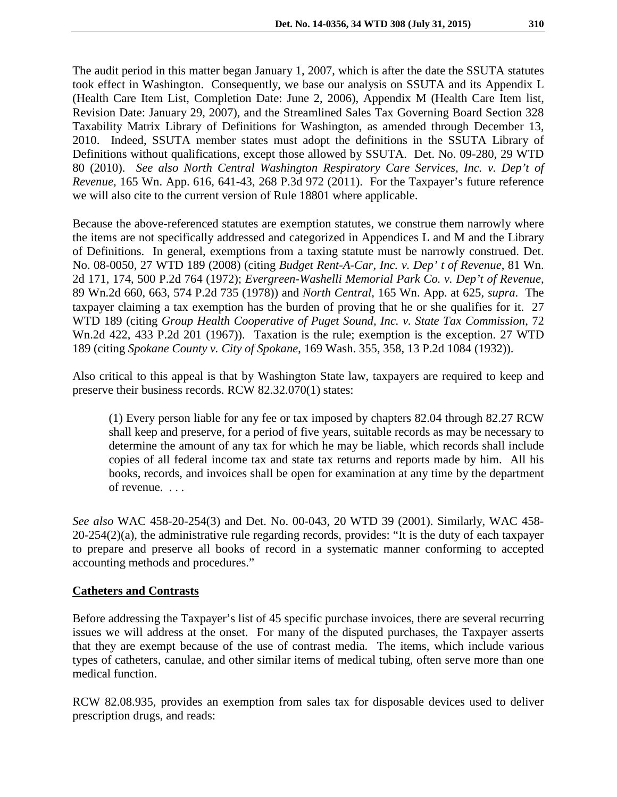The audit period in this matter began January 1, 2007, which is after the date the SSUTA statutes took effect in Washington. Consequently, we base our analysis on SSUTA and its Appendix L (Health Care Item List, Completion Date: June 2, 2006), Appendix M (Health Care Item list, Revision Date: January 29, 2007), and the Streamlined Sales Tax Governing Board Section 328 Taxability Matrix Library of Definitions for Washington, as amended through December 13, 2010. Indeed, SSUTA member states must adopt the definitions in the SSUTA Library of Definitions without qualifications, except those allowed by SSUTA. Det. No. 09-280, 29 WTD 80 (2010). *See also North Central Washington Respiratory Care Services, Inc. v. Dep't of Revenue,* 165 Wn. App. 616, 641-43, 268 P.3d 972 (2011). For the Taxpayer's future reference we will also cite to the current version of Rule 18801 where applicable.

Because the above-referenced statutes are exemption statutes, we construe them narrowly where the items are not specifically addressed and categorized in Appendices L and M and the Library of Definitions. In general, exemptions from a taxing statute must be narrowly construed. Det. No. 08-0050, 27 WTD 189 (2008) (citing *Budget Rent-A-Car, Inc. v. Dep' t of Revenue*, 81 Wn. 2d 171, 174, 500 P.2d 764 (1972); *Evergreen-Washelli Memorial Park Co. v. Dep't of Revenue*, 89 Wn.2d 660, 663, 574 P.2d 735 (1978)) and *North Central,* 165 Wn. App. at 625*, supra*. The taxpayer claiming a tax exemption has the burden of proving that he or she qualifies for it. 27 WTD 189 (citing *Group Health Cooperative of Puget Sound, Inc. v. State Tax Commission*, 72 Wn.2d 422, 433 P.2d 201 (1967)). Taxation is the rule; exemption is the exception. 27 WTD 189 (citing *Spokane County v. City of Spokane*, 169 Wash. 355, 358, 13 P.2d 1084 (1932)).

Also critical to this appeal is that by Washington State law, taxpayers are required to keep and preserve their business records. RCW 82.32.070(1) states:

(1) Every person liable for any fee or tax imposed by chapters 82.04 through 82.27 RCW shall keep and preserve, for a period of five years, suitable records as may be necessary to determine the amount of any tax for which he may be liable, which records shall include copies of all federal income tax and state tax returns and reports made by him. All his books, records, and invoices shall be open for examination at any time by the department of revenue. . . .

*See also* WAC 458-20-254(3) and Det. No. 00-043, 20 WTD 39 (2001). Similarly, WAC 458-  $20-254(2)(a)$ , the administrative rule regarding records, provides: "It is the duty of each taxpayer to prepare and preserve all books of record in a systematic manner conforming to accepted accounting methods and procedures."

## **Catheters and Contrasts**

Before addressing the Taxpayer's list of 45 specific purchase invoices, there are several recurring issues we will address at the onset. For many of the disputed purchases, the Taxpayer asserts that they are exempt because of the use of contrast media. The items, which include various types of catheters, canulae, and other similar items of medical tubing, often serve more than one medical function.

RCW 82.08.935, provides an exemption from sales tax for disposable devices used to deliver prescription drugs, and reads: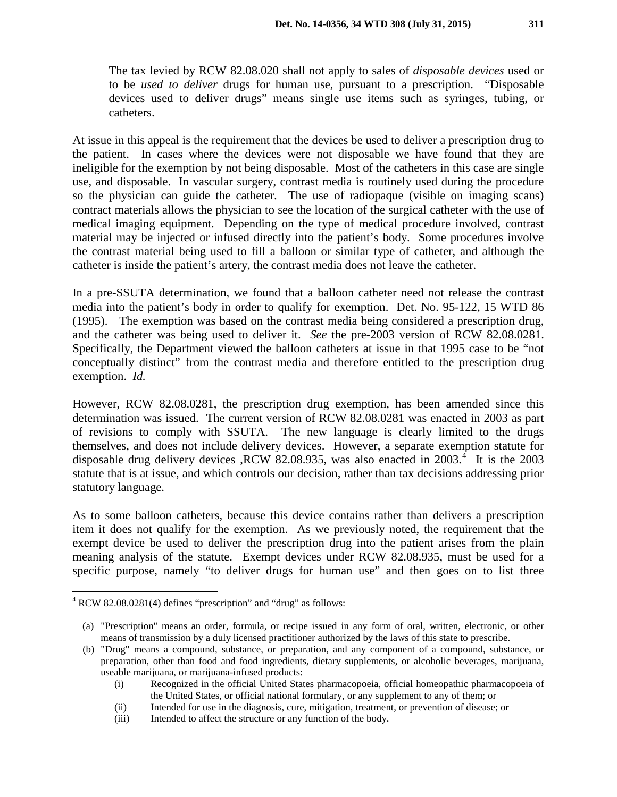The tax levied by RCW 82.08.020 shall not apply to sales of *disposable devices* used or to be *used to deliver* drugs for human use, pursuant to a prescription. "Disposable devices used to deliver drugs" means single use items such as syringes, tubing, or catheters.

At issue in this appeal is the requirement that the devices be used to deliver a prescription drug to the patient. In cases where the devices were not disposable we have found that they are ineligible for the exemption by not being disposable. Most of the catheters in this case are single use, and disposable. In vascular surgery, contrast media is routinely used during the procedure so the physician can guide the catheter. The use of radiopaque (visible on imaging scans) contract materials allows the physician to see the location of the surgical catheter with the use of medical imaging equipment. Depending on the type of medical procedure involved, contrast material may be injected or infused directly into the patient's body. Some procedures involve the contrast material being used to fill a balloon or similar type of catheter, and although the catheter is inside the patient's artery, the contrast media does not leave the catheter.

In a pre-SSUTA determination, we found that a balloon catheter need not release the contrast media into the patient's body in order to qualify for exemption. Det. No. 95-122, 15 WTD 86 (1995). The exemption was based on the contrast media being considered a prescription drug, and the catheter was being used to deliver it. *See* the pre-2003 version of RCW 82.08.0281. Specifically, the Department viewed the balloon catheters at issue in that 1995 case to be "not conceptually distinct" from the contrast media and therefore entitled to the prescription drug exemption. *Id.*

However, RCW 82.08.0281, the prescription drug exemption, has been amended since this determination was issued. The current version of RCW 82.08.0281 was enacted in 2003 as part of revisions to comply with SSUTA. The new language is clearly limited to the drugs themselves, and does not include delivery devices. However, a separate exemption statute for disposable drug delivery devices ,RCW 82.08.935, was also enacted in 2003.<sup>[4](#page-3-0)</sup> It is the 2003 statute that is at issue, and which controls our decision, rather than tax decisions addressing prior statutory language.

As to some balloon catheters, because this device contains rather than delivers a prescription item it does not qualify for the exemption. As we previously noted, the requirement that the exempt device be used to deliver the prescription drug into the patient arises from the plain meaning analysis of the statute. Exempt devices under RCW 82.08.935, must be used for a specific purpose, namely "to deliver drugs for human use" and then goes on to list three

<span id="page-3-0"></span> $4$  RCW 82.08.0281(4) defines "prescription" and "drug" as follows:

<sup>(</sup>a) "Prescription" means an order, formula, or recipe issued in any form of oral, written, electronic, or other means of transmission by a duly licensed practitioner authorized by the laws of this state to prescribe.

<sup>(</sup>b) "Drug" means a compound, substance, or preparation, and any component of a compound, substance, or preparation, other than food and food ingredients, dietary supplements, or alcoholic beverages, marijuana, useable marijuana, or marijuana-infused products:

<sup>(</sup>i) Recognized in the official United States pharmacopoeia, official homeopathic pharmacopoeia of the United States, or official national formulary, or any supplement to any of them; or

<sup>(</sup>ii) Intended for use in the diagnosis, cure, mitigation, treatment, or prevention of disease; or

<sup>(</sup>iii) Intended to affect the structure or any function of the body.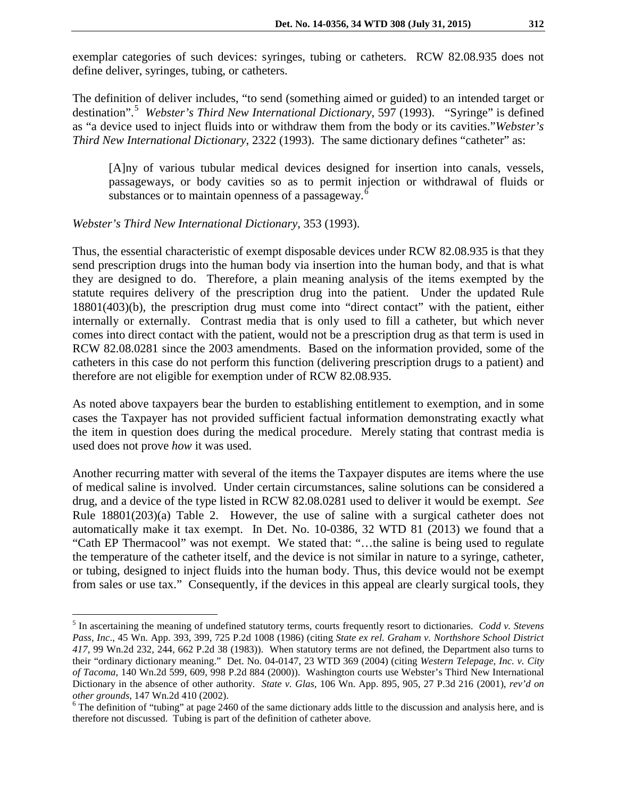exemplar categories of such devices: syringes, tubing or catheters. RCW 82.08.935 does not define deliver, syringes, tubing, or catheters.

The definition of deliver includes, "to send (something aimed or guided) to an intended target or destination".<sup>[5](#page-4-0)</sup> Webster's Third New International Dictionary, 597 (1993). "Syringe" is defined as "a device used to inject fluids into or withdraw them from the body or its cavities."*Webster's Third New International Dictionary*, 2322 (1993). The same dictionary defines "catheter" as:

[A]ny of various tubular medical devices designed for insertion into canals, vessels, passageways, or body cavities so as to permit injection or withdrawal of fluids or substances or to maintain openness of a passageway.<sup>[6](#page-4-1)</sup>

### *Webster's Third New International Dictionary*, 353 (1993).

Thus, the essential characteristic of exempt disposable devices under RCW 82.08.935 is that they send prescription drugs into the human body via insertion into the human body, and that is what they are designed to do. Therefore, a plain meaning analysis of the items exempted by the statute requires delivery of the prescription drug into the patient. Under the updated Rule 18801(403)(b), the prescription drug must come into "direct contact" with the patient, either internally or externally. Contrast media that is only used to fill a catheter, but which never comes into direct contact with the patient, would not be a prescription drug as that term is used in RCW 82.08.0281 since the 2003 amendments. Based on the information provided, some of the catheters in this case do not perform this function (delivering prescription drugs to a patient) and therefore are not eligible for exemption under of RCW 82.08.935.

As noted above taxpayers bear the burden to establishing entitlement to exemption, and in some cases the Taxpayer has not provided sufficient factual information demonstrating exactly what the item in question does during the medical procedure. Merely stating that contrast media is used does not prove *how* it was used.

Another recurring matter with several of the items the Taxpayer disputes are items where the use of medical saline is involved. Under certain circumstances, saline solutions can be considered a drug, and a device of the type listed in RCW 82.08.0281 used to deliver it would be exempt. *See* Rule 18801(203)(a) Table 2. However, the use of saline with a surgical catheter does not automatically make it tax exempt. In Det. No. 10-0386, 32 WTD 81 (2013) we found that a "Cath EP Thermacool" was not exempt. We stated that: "…the saline is being used to regulate the temperature of the catheter itself, and the device is not similar in nature to a syringe, catheter, or tubing, designed to inject fluids into the human body. Thus, this device would not be exempt from sales or use tax." Consequently, if the devices in this appeal are clearly surgical tools, they

<span id="page-4-0"></span> <sup>5</sup> In ascertaining the meaning of undefined statutory terms, courts frequently resort to dictionaries. *Codd v. Stevens Pass, Inc*., 45 Wn. App. 393, 399, 725 P.2d 1008 (1986) (citing *State ex rel. Graham v. Northshore School District 417*, 99 Wn.2d 232, 244, 662 P.2d 38 (1983)). When statutory terms are not defined, the Department also turns to their "ordinary dictionary meaning." Det. No. 04-0147, 23 WTD 369 (2004) (citing *Western Telepage, Inc. v. City of Tacoma*, 140 Wn.2d 599, 609, 998 P.2d 884 (2000)). Washington courts use Webster's Third New International Dictionary in the absence of other authority. *State v. Glas*, 106 Wn. App. 895, 905, 27 P.3d 216 (2001), *rev'd on other grounds*, 147 Wn.2d 410 (2002).<br><sup>6</sup> The definition of "tubing" at page 2460 of the same dictionary adds little to the discussion and analysis here, and is

<span id="page-4-1"></span>therefore not discussed. Tubing is part of the definition of catheter above.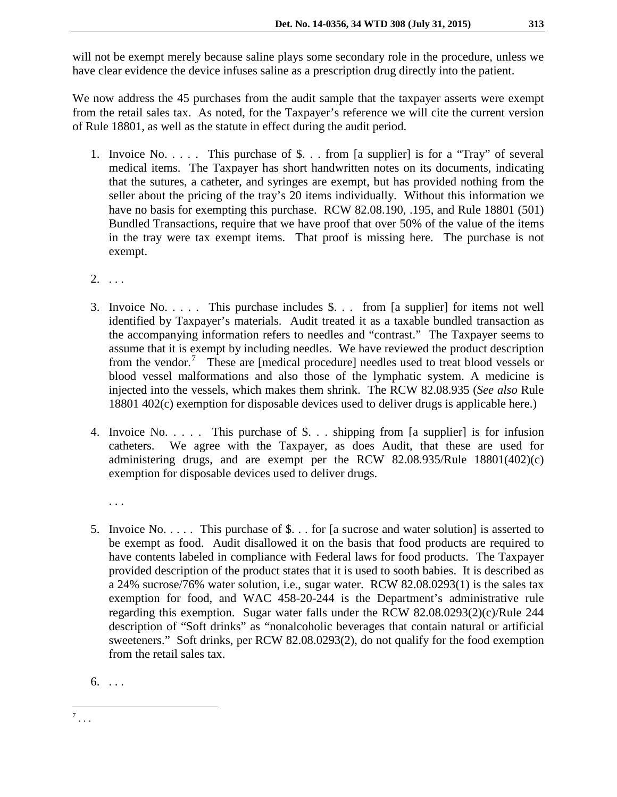will not be exempt merely because saline plays some secondary role in the procedure, unless we have clear evidence the device infuses saline as a prescription drug directly into the patient.

We now address the 45 purchases from the audit sample that the taxpayer asserts were exempt from the retail sales tax. As noted, for the Taxpayer's reference we will cite the current version of Rule 18801, as well as the statute in effect during the audit period.

- 1. Invoice No. . . . . This purchase of \$. . . from [a supplier] is for a "Tray" of several medical items. The Taxpayer has short handwritten notes on its documents, indicating that the sutures, a catheter, and syringes are exempt, but has provided nothing from the seller about the pricing of the tray's 20 items individually. Without this information we have no basis for exempting this purchase. RCW 82.08.190, .195, and Rule 18801 (501) Bundled Transactions, require that we have proof that over 50% of the value of the items in the tray were tax exempt items. That proof is missing here. The purchase is not exempt.
- $2. \ldots$
- 3. Invoice No. . . . . This purchase includes \$. . . from [a supplier] for items not well identified by Taxpayer's materials. Audit treated it as a taxable bundled transaction as the accompanying information refers to needles and "contrast." The Taxpayer seems to assume that it is exempt by including needles. We have reviewed the product description from the vendor.<sup>[7](#page-5-0)</sup> These are [medical procedure] needles used to treat blood vessels or blood vessel malformations and also those of the lymphatic system. A medicine is injected into the vessels, which makes them shrink. The RCW 82.08.935 (*See also* Rule 18801 402(c) exemption for disposable devices used to deliver drugs is applicable here.)
- 4. Invoice No. . . . . This purchase of \$. . . shipping from [a supplier] is for infusion catheters. We agree with the Taxpayer, as does Audit, that these are used for administering drugs, and are exempt per the RCW 82.08.935/Rule 18801(402)(c) exemption for disposable devices used to deliver drugs.
	- . . .
- 5. Invoice No. . . . . This purchase of \$. . . for [a sucrose and water solution] is asserted to be exempt as food. Audit disallowed it on the basis that food products are required to have contents labeled in compliance with Federal laws for food products. The Taxpayer provided description of the product states that it is used to sooth babies. It is described as a 24% sucrose/76% water solution, i.e., sugar water. RCW 82.08.0293(1) is the sales tax exemption for food, and WAC 458-20-244 is the Department's administrative rule regarding this exemption. Sugar water falls under the RCW 82.08.0293(2)(c)/Rule 244 description of "Soft drinks" as "nonalcoholic beverages that contain natural or artificial sweeteners." Soft drinks, per RCW 82.08.0293(2), do not qualify for the food exemption from the retail sales tax.

 $6. \ldots$ 

<span id="page-5-0"></span> $^7$  . . .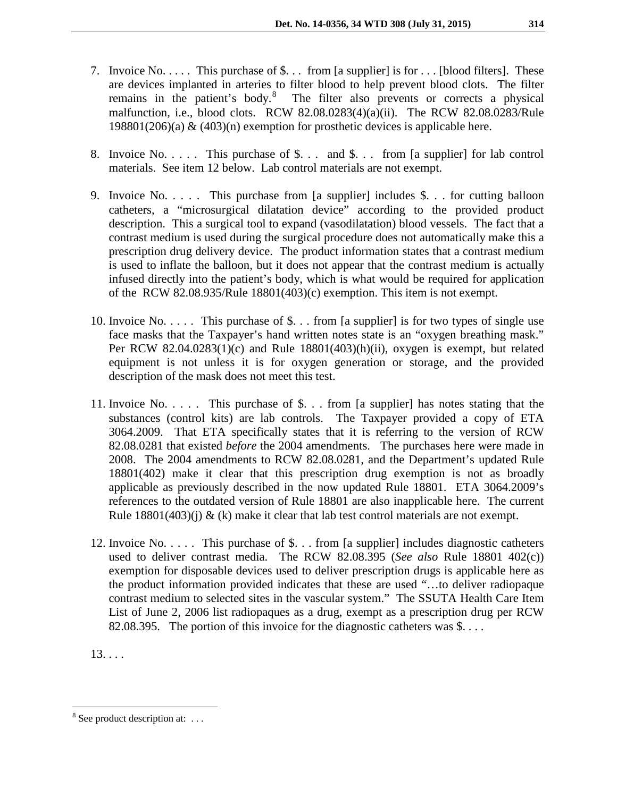- 7. Invoice No. . . . . This purchase of \$. . . from [a supplier] is for . . . [blood filters]. These are devices implanted in arteries to filter blood to help prevent blood clots. The filter remains in the patient's body.<sup>[8](#page-6-0)</sup> The filter also prevents or corrects a physical malfunction, i.e., blood clots. RCW 82.08.0283(4)(a)(ii). The RCW 82.08.0283/Rule 198801(206)(a)  $\&$  (403)(n) exemption for prosthetic devices is applicable here.
- 8. Invoice No. . . . . This purchase of \$. . . and \$. . . from [a supplier] for lab control materials. See item 12 below. Lab control materials are not exempt.
- 9. Invoice No. . . . . This purchase from [a supplier] includes \$. . . for cutting balloon catheters, a "microsurgical dilatation device" according to the provided product description. This a surgical tool to expand (vasodilatation) blood vessels. The fact that a contrast medium is used during the surgical procedure does not automatically make this a prescription drug delivery device. The product information states that a contrast medium is used to inflate the balloon, but it does not appear that the contrast medium is actually infused directly into the patient's body, which is what would be required for application of the RCW 82.08.935/Rule 18801(403)(c) exemption. This item is not exempt.
- 10. Invoice No. . . . . This purchase of \$. . . from [a supplier] is for two types of single use face masks that the Taxpayer's hand written notes state is an "oxygen breathing mask." Per RCW 82.04.0283(1)(c) and Rule 18801(403)(h)(ii), oxygen is exempt, but related equipment is not unless it is for oxygen generation or storage, and the provided description of the mask does not meet this test.
- 11. Invoice No. . . . . This purchase of \$. . . from [a supplier] has notes stating that the substances (control kits) are lab controls. The Taxpayer provided a copy of ETA 3064.2009. That ETA specifically states that it is referring to the version of RCW 82.08.0281 that existed *before* the 2004 amendments. The purchases here were made in 2008. The 2004 amendments to RCW 82.08.0281, and the Department's updated Rule 18801(402) make it clear that this prescription drug exemption is not as broadly applicable as previously described in the now updated Rule 18801. ETA 3064.2009's references to the outdated version of Rule 18801 are also inapplicable here. The current Rule  $18801(403)(i)$  & (k) make it clear that lab test control materials are not exempt.
- 12. Invoice No. . . . . This purchase of \$. . . from [a supplier] includes diagnostic catheters used to deliver contrast media. The RCW 82.08.395 (*See also* Rule 18801 402(c)) exemption for disposable devices used to deliver prescription drugs is applicable here as the product information provided indicates that these are used "…to deliver radiopaque contrast medium to selected sites in the vascular system." The SSUTA Health Care Item List of June 2, 2006 list radiopaques as a drug, exempt as a prescription drug per RCW 82.08.395. The portion of this invoice for the diagnostic catheters was \$. . . .

13. . . .

<span id="page-6-0"></span> $8$  See product description at: ...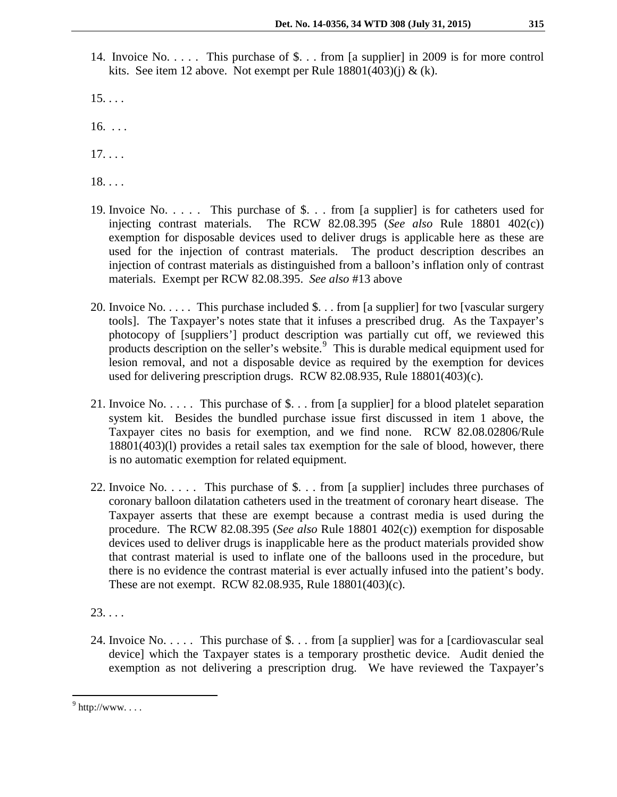- 14. Invoice No. . . . . This purchase of \$. . . from [a supplier] in 2009 is for more control kits. See item 12 above. Not exempt per Rule  $18801(403)(i) \& (k)$ .
- $15. \ldots$
- 16. . . .
- $17. \ldots$
- 18. . . .
- 19. Invoice No. . . . . This purchase of \$. . . from [a supplier] is for catheters used for injecting contrast materials. The RCW 82.08.395 (*See also* Rule 18801 402(c)) exemption for disposable devices used to deliver drugs is applicable here as these are used for the injection of contrast materials. The product description describes an injection of contrast materials as distinguished from a balloon's inflation only of contrast materials. Exempt per RCW 82.08.395. *See also* #13 above
- 20. Invoice No. . . . . This purchase included \$. . . from [a supplier] for two [vascular surgery tools]. The Taxpayer's notes state that it infuses a prescribed drug. As the Taxpayer's photocopy of [suppliers'] product description was partially cut off, we reviewed this products description on the seller's website.<sup>[9](#page-7-0)</sup> This is durable medical equipment used for lesion removal, and not a disposable device as required by the exemption for devices used for delivering prescription drugs. RCW 82.08.935, Rule 18801(403)(c).
- 21. Invoice No. . . . . This purchase of \$. . . from [a supplier] for a blood platelet separation system kit. Besides the bundled purchase issue first discussed in item 1 above, the Taxpayer cites no basis for exemption, and we find none. RCW 82.08.02806/Rule 18801(403)(l) provides a retail sales tax exemption for the sale of blood, however, there is no automatic exemption for related equipment.
- 22. Invoice No. . . . . This purchase of \$. . . from [a supplier] includes three purchases of coronary balloon dilatation catheters used in the treatment of coronary heart disease. The Taxpayer asserts that these are exempt because a contrast media is used during the procedure. The RCW 82.08.395 (*See also* Rule 18801 402(c)) exemption for disposable devices used to deliver drugs is inapplicable here as the product materials provided show that contrast material is used to inflate one of the balloons used in the procedure, but there is no evidence the contrast material is ever actually infused into the patient's body. These are not exempt. RCW 82.08.935, Rule 18801(403)(c).
- 23. . . .
- 24. Invoice No. . . . . This purchase of \$. . . from [a supplier] was for a [cardiovascular seal device] which the Taxpayer states is a temporary prosthetic device. Audit denied the exemption as not delivering a prescription drug. We have reviewed the Taxpayer's

<span id="page-7-0"></span> $9$  http://www....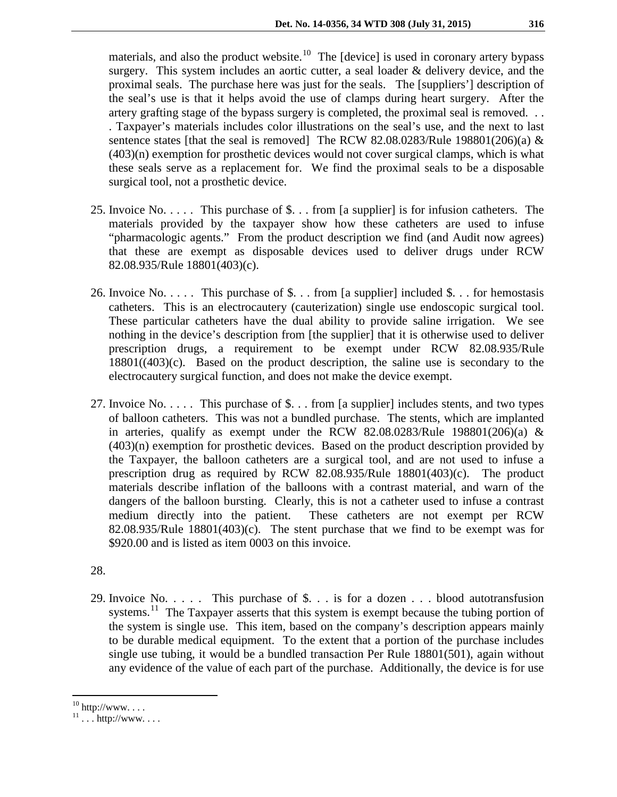materials, and also the product website.<sup>10</sup> The [device] is used in coronary artery bypass surgery. This system includes an aortic cutter, a seal loader & delivery device, and the proximal seals. The purchase here was just for the seals. The [suppliers'] description of the seal's use is that it helps avoid the use of clamps during heart surgery. After the artery grafting stage of the bypass surgery is completed, the proximal seal is removed. . . . Taxpayer's materials includes color illustrations on the seal's use, and the next to last sentence states [that the seal is removed] The RCW 82.08.0283/Rule 198801(206)(a)  $\&$ (403)(n) exemption for prosthetic devices would not cover surgical clamps, which is what these seals serve as a replacement for. We find the proximal seals to be a disposable surgical tool, not a prosthetic device.

- 25. Invoice No. . . . . This purchase of \$. . . from [a supplier] is for infusion catheters. The materials provided by the taxpayer show how these catheters are used to infuse "pharmacologic agents." From the product description we find (and Audit now agrees) that these are exempt as disposable devices used to deliver drugs under RCW 82.08.935/Rule 18801(403)(c).
- 26. Invoice No. . . . . This purchase of \$. . . from [a supplier] included \$. . . for hemostasis catheters. This is an electrocautery (cauterization) single use endoscopic surgical tool. These particular catheters have the dual ability to provide saline irrigation. We see nothing in the device's description from [the supplier] that it is otherwise used to deliver prescription drugs, a requirement to be exempt under RCW 82.08.935/Rule 18801((403)(c). Based on the product description, the saline use is secondary to the electrocautery surgical function, and does not make the device exempt.
- 27. Invoice No. . . . . This purchase of \$. . . from [a supplier] includes stents, and two types of balloon catheters. This was not a bundled purchase. The stents, which are implanted in arteries, qualify as exempt under the RCW 82.08.0283/Rule 198801(206)(a)  $\&$ (403)(n) exemption for prosthetic devices. Based on the product description provided by the Taxpayer, the balloon catheters are a surgical tool, and are not used to infuse a prescription drug as required by RCW 82.08.935/Rule 18801(403)(c). The product materials describe inflation of the balloons with a contrast material, and warn of the dangers of the balloon bursting. Clearly, this is not a catheter used to infuse a contrast medium directly into the patient. These catheters are not exempt per RCW  $82.08.935/R$ ule  $18801(403)(c)$ . The stent purchase that we find to be exempt was for \$920.00 and is listed as item 0003 on this invoice.

28.

29. Invoice No. . . . . This purchase of \$. . . is for a dozen . . . blood autotransfusion systems.<sup>11</sup> The Taxpayer asserts that this system is exempt because the tubing portion of the system is single use. This item, based on the company's description appears mainly to be durable medical equipment. To the extent that a portion of the purchase includes single use tubing, it would be a bundled transaction Per Rule 18801(501), again without any evidence of the value of each part of the purchase. Additionally, the device is for use

<span id="page-8-1"></span><span id="page-8-0"></span> $10 \text{ http://www. . . .}$ <br> $11 \text{ . . . } \text{http://www. . . .}$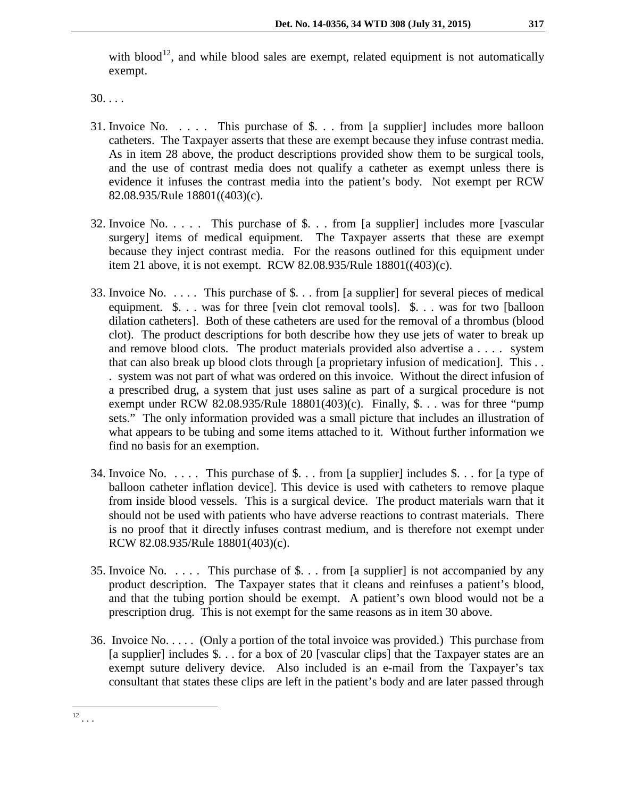with blood<sup>12</sup>, and while blood sales are exempt, related equipment is not automatically exempt.

30. . . .

- 31. Invoice No. . . . . This purchase of \$. . . from [a supplier] includes more balloon catheters. The Taxpayer asserts that these are exempt because they infuse contrast media. As in item 28 above, the product descriptions provided show them to be surgical tools, and the use of contrast media does not qualify a catheter as exempt unless there is evidence it infuses the contrast media into the patient's body. Not exempt per RCW 82.08.935/Rule 18801((403)(c).
- 32. Invoice No. . . . . This purchase of \$. . . from [a supplier] includes more [vascular surgery] items of medical equipment. The Taxpayer asserts that these are exempt because they inject contrast media. For the reasons outlined for this equipment under item 21 above, it is not exempt. RCW 82.08.935/Rule 18801((403)(c).
- 33. Invoice No. . . . . This purchase of \$. . . from [a supplier] for several pieces of medical equipment. \$. . . was for three [vein clot removal tools]. \$. . . was for two [balloon dilation catheters]. Both of these catheters are used for the removal of a thrombus (blood clot). The product descriptions for both describe how they use jets of water to break up and remove blood clots. The product materials provided also advertise a . . . . system that can also break up blood clots through [a proprietary infusion of medication]. This . . . system was not part of what was ordered on this invoice. Without the direct infusion of a prescribed drug, a system that just uses saline as part of a surgical procedure is not exempt under RCW 82.08.935/Rule  $18801(403)(c)$ . Finally, \$... was for three "pump" sets." The only information provided was a small picture that includes an illustration of what appears to be tubing and some items attached to it. Without further information we find no basis for an exemption.
- 34. Invoice No. . . . . This purchase of \$. . . from [a supplier] includes \$. . . for [a type of balloon catheter inflation device]. This device is used with catheters to remove plaque from inside blood vessels. This is a surgical device. The product materials warn that it should not be used with patients who have adverse reactions to contrast materials. There is no proof that it directly infuses contrast medium, and is therefore not exempt under RCW 82.08.935/Rule 18801(403)(c).
- 35. Invoice No. . . . . This purchase of \$. . . from [a supplier] is not accompanied by any product description. The Taxpayer states that it cleans and reinfuses a patient's blood, and that the tubing portion should be exempt. A patient's own blood would not be a prescription drug. This is not exempt for the same reasons as in item 30 above.
- <span id="page-9-0"></span>36. Invoice No. . . . . (Only a portion of the total invoice was provided.) This purchase from [a supplier] includes \$. . . for a box of 20 [vascular clips] that the Taxpayer states are an exempt suture delivery device. Also included is an e-mail from the Taxpayer's tax consultant that states these clips are left in the patient's body and are later passed through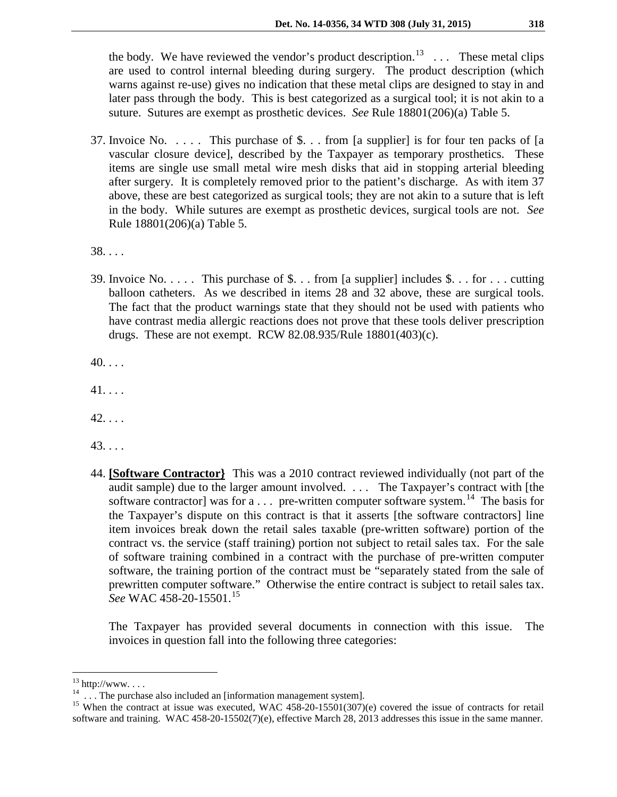the body. We have reviewed the vendor's product description.<sup>13</sup> ... These metal clips are used to control internal bleeding during surgery. The product description (which warns against re-use) gives no indication that these metal clips are designed to stay in and later pass through the body. This is best categorized as a surgical tool; it is not akin to a suture. Sutures are exempt as prosthetic devices. *See* Rule 18801(206)(a) Table 5.

37. Invoice No. . . . . This purchase of \$. . . from [a supplier] is for four ten packs of [a vascular closure device], described by the Taxpayer as temporary prosthetics. These items are single use small metal wire mesh disks that aid in stopping arterial bleeding after surgery. It is completely removed prior to the patient's discharge. As with item 37 above, these are best categorized as surgical tools; they are not akin to a suture that is left in the body. While sutures are exempt as prosthetic devices, surgical tools are not. *See*  Rule 18801(206)(a) Table 5.

38. . . .

39. Invoice No. . . . . This purchase of \$. . . from [a supplier] includes \$. . . for . . . cutting balloon catheters. As we described in items 28 and 32 above, these are surgical tools. The fact that the product warnings state that they should not be used with patients who have contrast media allergic reactions does not prove that these tools deliver prescription drugs. These are not exempt. RCW 82.08.935/Rule 18801(403)(c).

 $40. \ldots$ 

41. . . .

 $42. \ldots$ 

43. . . .

44. **[Software Contractor}** This was a 2010 contract reviewed individually (not part of the audit sample) due to the larger amount involved. . . . The Taxpayer's contract with [the software contractor] was for  $a \dots$  pre-written computer software system.<sup>[14](#page-10-1)</sup> The basis for the Taxpayer's dispute on this contract is that it asserts [the software contractors] line item invoices break down the retail sales taxable (pre-written software) portion of the contract vs. the service (staff training) portion not subject to retail sales tax. For the sale of software training combined in a contract with the purchase of pre-written computer software, the training portion of the contract must be "separately stated from the sale of prewritten computer software." Otherwise the entire contract is subject to retail sales tax. *See* WAC 458-20-15501.[15](#page-10-2)

The Taxpayer has provided several documents in connection with this issue. The invoices in question fall into the following three categories:

<span id="page-10-2"></span>

<span id="page-10-1"></span><span id="page-10-0"></span><sup>&</sup>lt;sup>13</sup> http://www. . . .<br><sup>14</sup> . . . The purchase also included an [information management system].<br><sup>15</sup> When the contract at issue was executed, WAC 458-20-15501(307)(e) covered the issue of contracts for retail software and training. WAC 458-20-15502(7)(e), effective March 28, 2013 addresses this issue in the same manner.